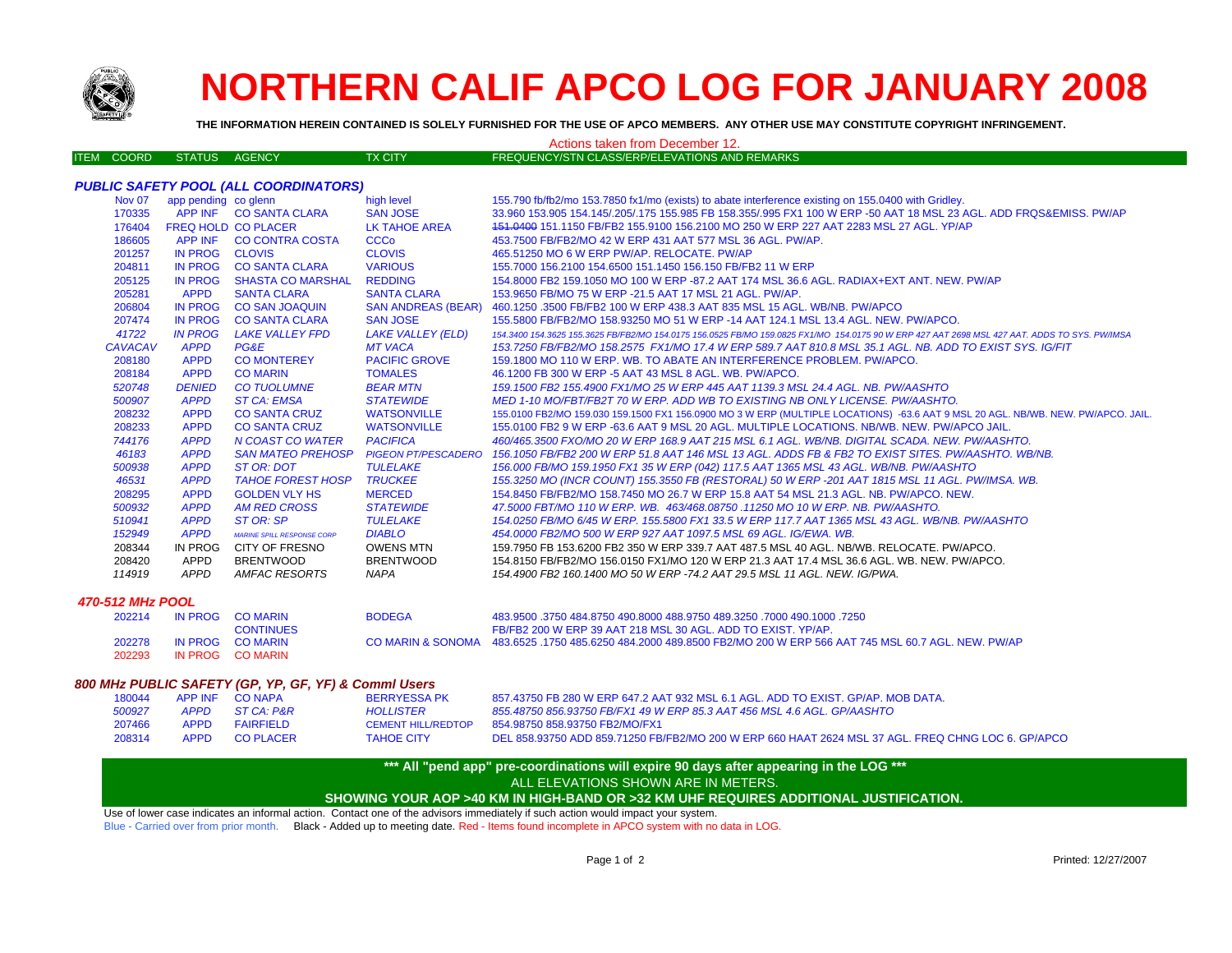

# **NORTHERN CALIF APCO LOG FOR JANUARY 2008**

155.700 fb/fb2/mo 153.7950 fx1/mo (exists) to abate interference existing on 155.0400 with Gridley.

**THE INFORMATION HEREIN CONTAINED IS SOLELY FURNISHED FOR THE USE OF APCO MEMBERS. ANY OTHER USE MAY CONSTITUTE COPYRIGHT INFRINGEMENT.**

#### Actions taken from December 12.

|  | ITEM COORD | STATUS AGENCY |  | TX CITY | <b>FREQUENCY/STN CLASS/ERP/ELEVATIONS AND REMARKS</b> |
|--|------------|---------------|--|---------|-------------------------------------------------------|
|--|------------|---------------|--|---------|-------------------------------------------------------|

# *PUBLIC SAFETY POOL (ALL COORDINATORS)*

| 190VUI         | app periumly to given |                                   | 11191116001                | <b>199.199. IN INCOLL SOLUTION IN INTIME (CAISLE) TO GUGLE INTERFERITUATION IN INCORPORATION INTO THE PLACE.</b>                              |
|----------------|-----------------------|-----------------------------------|----------------------------|-----------------------------------------------------------------------------------------------------------------------------------------------|
| 170335         |                       | APP INF CO SANTA CLARA            | <b>SAN JOSE</b>            | 33.960 153.905 154.145/.205/.175 155.985 FB 158.355/.995 FX1 100 W ERP -50 AAT 18 MSL 23 AGL. ADD FRQS&EMISS, PW/AP                           |
| 176404         |                       | <b>FREQ HOLD CO PLACER</b>        | LK TAHOE AREA              | 151,0400 151,1150 FB/FB2 155,9100 156,2100 MO 250 W ERP 227 AAT 2283 MSL 27 AGL, YP/AP                                                        |
| 186605         | APP INF               | <b>CO CONTRA COSTA</b>            | <b>CCCo</b>                | 453.7500 FB/FB2/MO 42 W ERP 431 AAT 577 MSL 36 AGL. PW/AP.                                                                                    |
| 201257         | IN PROG               | <b>CLOVIS</b>                     | <b>CLOVIS</b>              | 465.51250 MO 6 W ERP PW/AP, RELOCATE, PW/AP                                                                                                   |
| 204811         | <b>IN PROG</b>        | <b>CO SANTA CLARA</b>             | <b>VARIOUS</b>             | 155,7000 156,2100 154,6500 151,1450 156,150 FB/FB2 11 W ERP                                                                                   |
| 205125         | IN PROG               | <b>SHASTA CO MARSHAL</b>          | <b>REDDING</b>             | 154,8000 FB2 159,1050 MO 100 W ERP -87,2 AAT 174 MSL 36.6 AGL, RADIAX+EXT ANT, NEW, PW/AP                                                     |
| 205281         | <b>APPD</b>           | <b>SANTA CLARA</b>                | <b>SANTA CLARA</b>         | 153,9650 FB/MO 75 W ERP -21.5 AAT 17 MSL 21 AGL, PW/AP.                                                                                       |
| 206804         | <b>IN PROG</b>        | <b>CO SAN JOAQUIN</b>             | <b>SAN ANDREAS (BEAR)</b>  | 460.1250.3500 FB/FB2 100 W ERP 438.3 AAT 835 MSL 15 AGL. WB/NB, PW/APCO                                                                       |
| 207474         | IN PROG               | <b>CO SANTA CLARA</b>             | <b>SAN JOSE</b>            | 155,5800 FB/FB2/MO 158,93250 MO 51 W ERP -14 AAT 124.1 MSL 13.4 AGL, NEW, PW/APCO,                                                            |
| 41722          | <b>IN PROG</b>        | <b>LAKE VALLEY FPD</b>            | <b>LAKE VALLEY (ELD)</b>   | 154,3400 154,3625 155,3625 FB/FB2/MO 154,0175 156,0525 FB/MO 159,0825 FX1/MO 154,0175 90 W ERP 427 AAT 2698 MSL 427 AAT. ADDS TO SYS, PW/IMSA |
| <b>CAVACAV</b> | <b>APPD</b>           | PG&E                              | <b>MT VACA</b>             | 153.7250 FB/FB2/MO 158.2575 FX1/MO 17.4 W ERP 589.7 AAT 810.8 MSL 35.1 AGL. NB. ADD TO EXIST SYS. IG/FIT                                      |
| 208180         | <b>APPD</b>           | <b>CO MONTEREY</b>                | <b>PACIFIC GROVE</b>       | 159.1800 MO 110 W ERP. WB. TO ABATE AN INTERFERENCE PROBLEM. PW/APCO.                                                                         |
| 208184         | <b>APPD</b>           | <b>CO MARIN</b>                   | <b>TOMALES</b>             | 46.1200 FB 300 W ERP -5 AAT 43 MSL 8 AGL, WB, PW/APCO,                                                                                        |
| 520748         | <b>DENIED</b>         | <b>CO TUOLUMNE</b>                | <b>BEAR MTN</b>            | 159.1500 FB2 155.4900 FX1/MO 25 W ERP 445 AAT 1139.3 MSL 24.4 AGL, NB, PW/AASHTO                                                              |
| 500907         | <b>APPD</b>           | <b>ST CA: EMSA</b>                | <b>STATEWIDE</b>           | MED 1-10 MO/FBT/FB2T 70 W ERP. ADD WB TO EXISTING NB ONLY LICENSE. PW/AASHTO.                                                                 |
| 208232         | <b>APPD</b>           | <b>CO SANTA CRUZ</b>              | <b>WATSONVILLE</b>         | 155.0100 FB2/MO 159.030 159.1500 FX1 156.0900 MO 3 W ERP (MULTIPLE LOCATIONS) -63.6 AAT 9 MSL 20 AGL. NB/WB. NEW. PW/APCO. JAIL.              |
| 208233         | <b>APPD</b>           | <b>CO SANTA CRUZ</b>              | <b>WATSONVILLE</b>         | 155,0100 FB2 9 W ERP -63.6 AAT 9 MSL 20 AGL. MULTIPLE LOCATIONS, NB/WB, NEW, PW/APCO JAIL.                                                    |
| 744176         | <b>APPD</b>           | N COAST CO WATER                  | <b>PACIFICA</b>            | 460/465.3500 FXO/MO 20 W ERP 168.9 AAT 215 MSL 6.1 AGL. WB/NB. DIGITAL SCADA. NEW. PW/AASHTO.                                                 |
| 46183          | <b>APPD</b>           | <b>SAN MATEO PREHOSP</b>          | <b>PIGEON PT/PESCADERO</b> | 156,1050 FB/FB2 200 W ERP 51.8 AAT 146 MSL 13 AGL. ADDS FB & FB2 TO EXIST SITES. PW/AASHTO, WB/NB.                                            |
| 500938         | <b>APPD</b>           | ST OR: DOT                        | TULELAKE                   | 156.000 FB/MO 159.1950 FX1 35 W ERP (042) 117.5 AAT 1365 MSL 43 AGL. WB/NB. PW/AASHTO                                                         |
| 46531          | <b>APPD</b>           | <b>TAHOE FOREST HOSP</b>          | <b>TRUCKEE</b>             | 155.3250 MO (INCR COUNT) 155.3550 FB (RESTORAL) 50 W ERP -201 AAT 1815 MSL 11 AGL. PW/IMSA. WB.                                               |
| 208295         | <b>APPD</b>           | <b>GOLDEN VLY HS</b>              | <b>MERCED</b>              | 154,8450 FB/FB2/MO 158,7450 MO 26.7 W ERP 15.8 AAT 54 MSL 21.3 AGL, NB, PW/APCO, NEW.                                                         |
| 500932         | <b>APPD</b>           | AM RED CROSS                      | <b>STATEWIDE</b>           | 47,5000 FBT/MO 110 W ERP. WB. 463/468.08750 .11250 MO 10 W ERP. NB. PW/AASHTO.                                                                |
| 510941         | <b>APPD</b>           | ST OR: SP                         | TULELAKE                   | 154,0250 FB/MO 6/45 W ERP, 155,5800 FX1 33.5 W ERP 117.7 AAT 1365 MSL 43 AGL, WB/NB, PW/AASHTO                                                |
| 152949         | <b>APPD</b>           | <b>MARINE SPILL RESPONSE CORP</b> | <b>DIABLO</b>              | 454,0000 FB2/MO 500 W ERP 927 AAT 1097.5 MSL 69 AGL. IG/EWA, WB.                                                                              |
| 208344         | IN PROG               | CITY OF FRESNO                    | OWENS MTN                  | 159.7950 FB 153.6200 FB2 350 W ERP 339.7 AAT 487.5 MSL 40 AGL. NB/WB, RELOCATE, PW/APCO,                                                      |
| 208420         | APPD                  | <b>BRENTWOOD</b>                  | <b>BRENTWOOD</b>           | 154.8150 FB/FB2/MO 156.0150 FX1/MO 120 W ERP 21.3 AAT 17.4 MSL 36.6 AGL, WB, NEW, PW/APCO,                                                    |
| 114919         | APPD                  | AMFAC RESORTS                     | <b>NAPA</b>                | 154,4900 FB2 160,1400 MO 50 W ERP -74.2 AAT 29.5 MSL 11 AGL, NEW, IG/PWA.                                                                     |
|                |                       |                                   |                            |                                                                                                                                               |

#### *470-512 MHz POOL*

| 202214 | IN PROG CO MARIN | <b>BODEGA</b> | 483.9500 .3750 484.8750 490.8000 488.9750 489.3250 .7000 490.1000 .7250                                           |
|--------|------------------|---------------|-------------------------------------------------------------------------------------------------------------------|
|        | <b>CONTINUES</b> |               | FB/FB2 200 W ERP 39 AAT 218 MSL 30 AGL. ADD TO EXIST, YP/AP,                                                      |
| 202278 | IN PROG CO MARIN |               | CO MARIN & SONOMA 483.6525 .1750 485.6250 484.2000 489.8500 FB2/MO 200 W ERP 566 AAT 745 MSL 60.7 AGL. NEW. PW/AP |
| 202293 | IN PROG COMARIN  |               |                                                                                                                   |

#### *800 MHz PUBLIC SAFETY (GP, YP, GF, YF) & Comml Users*

| 180044 | APP INF CONAPA | <b>BERRYESSA PK</b> | 857.43750 FB 280 W ERP 647.2 AAT 932 MSL 6.1 AGL. ADD TO EXIST, GP/AP, MOB DATA.                   |
|--------|----------------|---------------------|----------------------------------------------------------------------------------------------------|
| 500927 | APPD STCA: P&R | <b>HOLLISTER</b>    | 855.48750 856.93750 FB/FX1 49 W ERP 85.3 AAT 456 MSL 4.6 AGL. GP/AASHTO                            |
| 207466 | APPD FAIRFIELD | CEMENT HILL/REDTOP  | 854.98750 858.93750 FB2/MO/FX1                                                                     |
| 208314 | APPD COPLACER  | <b>TAHOE CITY</b>   | DEL 858.93750 ADD 859.71250 FB/FB2/MO 200 W ERP 660 HAAT 2624 MSL 37 AGL. FREQ CHNG LOC 6. GP/APCO |

### **\*\*\* All "pend app" pre-coordinations will expire 90 days after appearing in the LOG \*\*\*** ALL ELEVATIONS SHOWN ARE IN METERS.

## **SHOWING YOUR AOP >40 KM IN HIGH-BAND OR >32 KM UHF REQUIRES ADDITIONAL JUSTIFICATION.**

Use of lower case indicates an informal action. Contact one of the advisors immediately if such action would impact your system.

Blue - Carried over from prior month. Black - Added up to meeting date. Red - Items found incomplete in APCO system with no data in LOG.